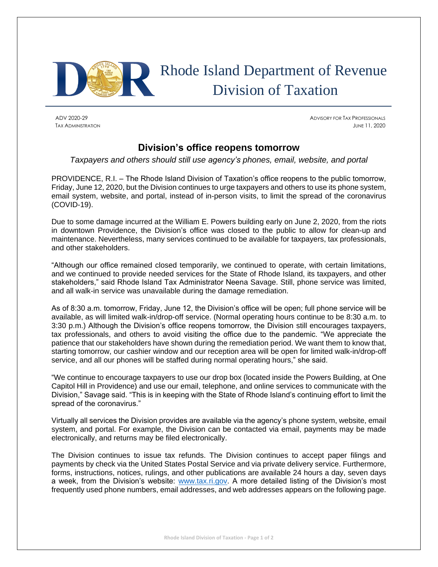

## Rhode Island Department of Revenue Division of Taxation

ADV 2020-29 ADVISORY FOR TAX PROFESSIONALS TAX ADMINISTRATION JUNE 11, 2020

## **Division's office reopens tomorrow**

*Taxpayers and others should still use agency's phones, email, website, and portal*

PROVIDENCE, R.I. – The Rhode Island Division of Taxation's office reopens to the public tomorrow, Friday, June 12, 2020, but the Division continues to urge taxpayers and others to use its phone system, email system, website, and portal, instead of in-person visits, to limit the spread of the coronavirus (COVID-19).

Due to some damage incurred at the William E. Powers building early on June 2, 2020, from the riots in downtown Providence, the Division's office was closed to the public to allow for clean-up and maintenance. Nevertheless, many services continued to be available for taxpayers, tax professionals, and other stakeholders.

"Although our office remained closed temporarily, we continued to operate, with certain limitations, and we continued to provide needed services for the State of Rhode Island, its taxpayers, and other stakeholders," said Rhode Island Tax Administrator Neena Savage. Still, phone service was limited, and all walk-in service was unavailable during the damage remediation.

As of 8:30 a.m. tomorrow, Friday, June 12, the Division's office will be open; full phone service will be available, as will limited walk-in/drop-off service. (Normal operating hours continue to be 8:30 a.m. to 3:30 p.m.) Although the Division's office reopens tomorrow, the Division still encourages taxpayers, tax professionals, and others to avoid visiting the office due to the pandemic. "We appreciate the patience that our stakeholders have shown during the remediation period. We want them to know that, starting tomorrow, our cashier window and our reception area will be open for limited walk-in/drop-off service, and all our phones will be staffed during normal operating hours," she said.

"We continue to encourage taxpayers to use our drop box (located inside the Powers Building, at One Capitol Hill in Providence) and use our email, telephone, and online services to communicate with the Division," Savage said. "This is in keeping with the State of Rhode Island's continuing effort to limit the spread of the coronavirus."

Virtually all services the Division provides are available via the agency's phone system, website, email system, and portal. For example, the Division can be contacted via email, payments may be made electronically, and returns may be filed electronically.

The Division continues to issue tax refunds. The Division continues to accept paper filings and payments by check via the United States Postal Service and via private delivery service. Furthermore, forms, instructions, notices, rulings, and other publications are available 24 hours a day, seven days a week, from the Division's website: [www.tax.ri.gov.](http://www.tax.ri.gov/) A more detailed listing of the Division's most frequently used phone numbers, email addresses, and web addresses appears on the following page.